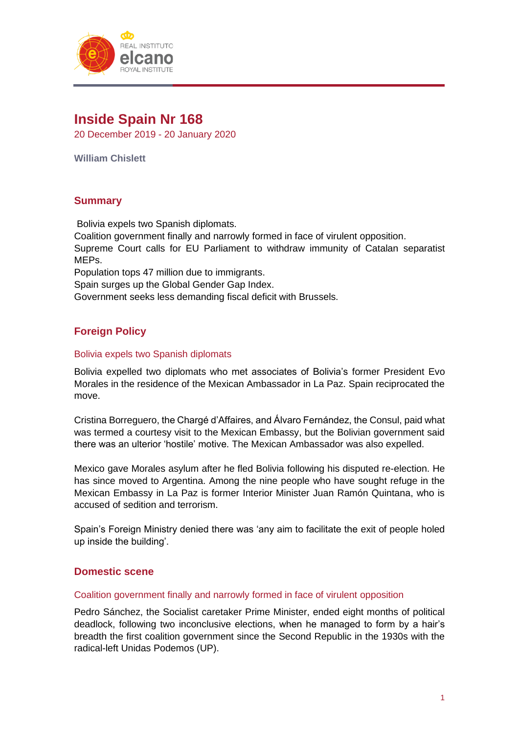

# **Inside Spain Nr 168**

20 December 2019 - 20 January 2020

**William Chislett**

# **Summary**

Bolivia expels two Spanish diplomats.

Coalition government finally and narrowly formed in face of virulent opposition.

Supreme Court calls for EU Parliament to withdraw immunity of Catalan separatist MEPs.

Population tops 47 million due to immigrants.

Spain surges up the Global Gender Gap Index.

Government seeks less demanding fiscal deficit with Brussels.

# **Foreign Policy**

# Bolivia expels two Spanish diplomats

Bolivia expelled two diplomats who met associates of Bolivia's former President Evo Morales in the residence of the Mexican Ambassador in La Paz. Spain reciprocated the move.

Cristina Borreguero, the Chargé d'Affaires, and Álvaro Fernández, the Consul, paid what was termed a courtesy visit to the Mexican Embassy, but the Bolivian government said there was an ulterior 'hostile' motive. The Mexican Ambassador was also expelled.

Mexico gave Morales asylum after he fled Bolivia following his disputed re-election. He has since moved to Argentina. Among the nine people who have sought refuge in the Mexican Embassy in La Paz is former Interior Minister Juan Ramón Quintana, who is accused of sedition and terrorism.

Spain's Foreign Ministry denied there was 'any aim to facilitate the exit of people holed up inside the building'.

# **Domestic scene**

#### Coalition government finally and narrowly formed in face of virulent opposition

Pedro Sánchez, the Socialist caretaker Prime Minister, ended eight months of political deadlock, following two inconclusive elections, when he managed to form by a hair's breadth the first coalition government since the Second Republic in the 1930s with the radical-left Unidas Podemos (UP).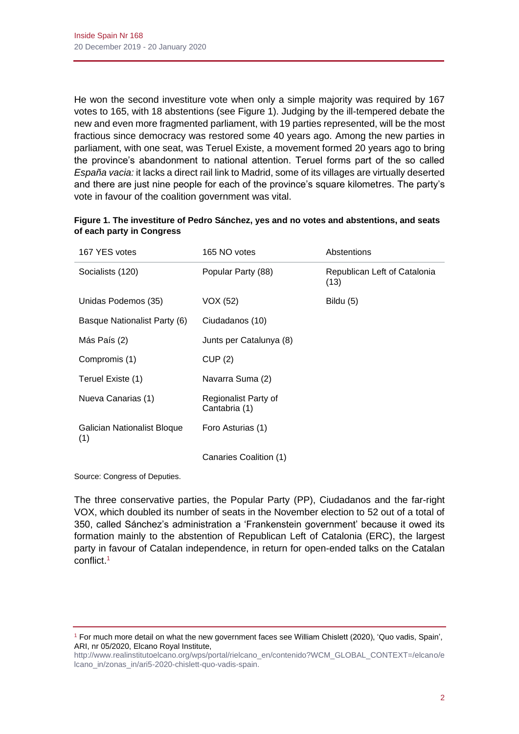He won the second investiture vote when only a simple majority was required by 167 votes to 165, with 18 abstentions (see Figure 1). Judging by the ill-tempered debate the new and even more fragmented parliament, with 19 parties represented, will be the most fractious since democracy was restored some 40 years ago. Among the new parties in parliament, with one seat, was Teruel Existe, a movement formed 20 years ago to bring the province's abandonment to national attention. Teruel forms part of the so called *España vacia:* it lacks a direct rail link to Madrid, some of its villages are virtually deserted and there are just nine people for each of the province's square kilometres. The party's vote in favour of the coalition government was vital.

| 167 YES votes                      | 165 NO votes                          | Abstentions                          |
|------------------------------------|---------------------------------------|--------------------------------------|
| Socialists (120)                   | Popular Party (88)                    | Republican Left of Catalonia<br>(13) |
| Unidas Podemos (35)                | VOX (52)                              | Bildu (5)                            |
| Basque Nationalist Party (6)       | Ciudadanos (10)                       |                                      |
| Más País (2)                       | Junts per Catalunya (8)               |                                      |
| Compromis (1)                      | CUP(2)                                |                                      |
| Teruel Existe (1)                  | Navarra Suma (2)                      |                                      |
| Nueva Canarias (1)                 | Regionalist Party of<br>Cantabria (1) |                                      |
| Galician Nationalist Bloque<br>(1) | Foro Asturias (1)                     |                                      |
|                                    | Canaries Coalition (1)                |                                      |

| Figure 1. The investiture of Pedro Sánchez, yes and no votes and abstentions, and seats |  |  |  |
|-----------------------------------------------------------------------------------------|--|--|--|
| of each party in Congress                                                               |  |  |  |

Source: Congress of Deputies.

The three conservative parties, the Popular Party (PP), Ciudadanos and the far-right VOX, which doubled its number of seats in the November election to 52 out of a total of 350, called Sánchez's administration a 'Frankenstein government' because it owed its formation mainly to the abstention of Republican Left of Catalonia (ERC), the largest party in favour of Catalan independence, in return for open-ended talks on the Catalan conflict. 1

<sup>1</sup> For much more detail on what the new government faces see William Chislett (2020), 'Quo vadis, Spain', ARI, nr 05/2020, Elcano Royal Institute,

[http://www.realinstitutoelcano.org/wps/portal/rielcano\\_en/contenido?WCM\\_GLOBAL\\_CONTEXT=/elcano/e](http://www.realinstitutoelcano.org/wps/portal/rielcano_en/contenido?WCM_GLOBAL_CONTEXT=/elcano/elcano_in/zonas_in/ari5-2020-chislett-quo-vadis-spain) [lcano\\_in/zonas\\_in/ari5-2020-chislett-quo-vadis-spain.](http://www.realinstitutoelcano.org/wps/portal/rielcano_en/contenido?WCM_GLOBAL_CONTEXT=/elcano/elcano_in/zonas_in/ari5-2020-chislett-quo-vadis-spain)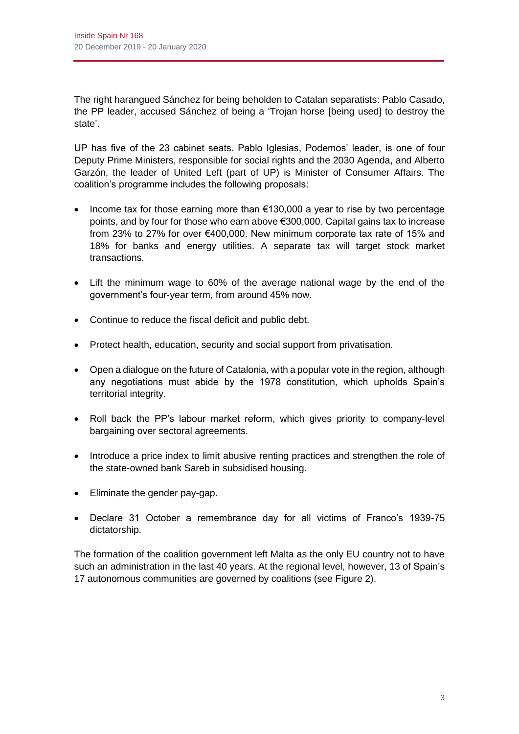The right harangued Sánchez for being beholden to Catalan separatists: Pablo Casado, the PP leader, accused Sánchez of being a 'Trojan horse [being used] to destroy the state'.

UP has five of the 23 cabinet seats. Pablo Iglesias, Podemos' leader, is one of four Deputy Prime Ministers, responsible for social rights and the 2030 Agenda, and Alberto Garzón, the leader of United Left (part of UP) is Minister of Consumer Affairs. The coalition's programme includes the following proposals:

- Income tax for those earning more than €130,000 a year to rise by two percentage points, and by four for those who earn above €300,000. Capital gains tax to increase from 23% to 27% for over €400,000. New minimum corporate tax rate of 15% and 18% for banks and energy utilities. A separate tax will target stock market transactions.
- Lift the minimum wage to 60% of the average national wage by the end of the government's four-year term, from around 45% now.
- Continue to reduce the fiscal deficit and public debt.
- Protect health, education, security and social support from privatisation.
- Open a dialogue on the future of Catalonia, with a popular vote in the region, although any negotiations must abide by the 1978 constitution, which upholds Spain's territorial integrity.
- Roll back the PP's labour market reform, which gives priority to company-level bargaining over sectoral agreements.
- Introduce a price index to limit abusive renting practices and strengthen the role of the state-owned bank Sareb in subsidised housing.
- Eliminate the gender pay-gap.
- Declare 31 October a remembrance day for all victims of Franco's 1939-75 dictatorship.

The formation of the coalition government left Malta as the only EU country not to have such an administration in the last 40 years. At the regional level, however, 13 of Spain's 17 autonomous communities are governed by coalitions (see Figure 2).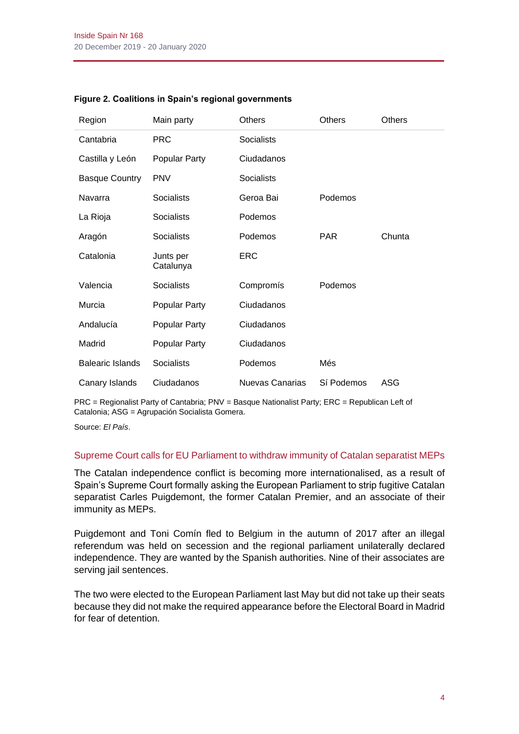| Region                  | Main party             | <b>Others</b>     | Others     | <b>Others</b> |
|-------------------------|------------------------|-------------------|------------|---------------|
| Cantabria               | <b>PRC</b>             | <b>Socialists</b> |            |               |
| Castilla y León         | Popular Party          | Ciudadanos        |            |               |
| <b>Basque Country</b>   | <b>PNV</b>             | <b>Socialists</b> |            |               |
| Navarra                 | Socialists             | Geroa Bai         | Podemos    |               |
| La Rioja                | Socialists             | Podemos           |            |               |
| Aragón                  | <b>Socialists</b>      | Podemos           | <b>PAR</b> | Chunta        |
| Catalonia               | Junts per<br>Catalunya | <b>ERC</b>        |            |               |
| Valencia                | <b>Socialists</b>      | Compromís         | Podemos    |               |
| Murcia                  | Popular Party          | Ciudadanos        |            |               |
| Andalucía               | Popular Party          | Ciudadanos        |            |               |
| Madrid                  | Popular Party          | Ciudadanos        |            |               |
| <b>Balearic Islands</b> | Socialists             | Podemos           | Més        |               |
| Canary Islands          | Ciudadanos             | Nuevas Canarias   | Sí Podemos | <b>ASG</b>    |

#### **Figure 2. Coalitions in Spain's regional governments**

PRC = Regionalist Party of Cantabria; PNV = Basque Nationalist Party; ERC = Republican Left of Catalonia; ASG = Agrupación Socialista Gomera.

Source: *El País*.

#### Supreme Court calls for EU Parliament to withdraw immunity of Catalan separatist MEPs

The Catalan independence conflict is becoming more internationalised, as a result of Spain's Supreme Court formally asking the European Parliament to strip fugitive Catalan separatist Carles Puigdemont, the former Catalan Premier, and an associate of their immunity as MEPs.

Puigdemont and Toni Comín fled to Belgium in the autumn of 2017 after an illegal referendum was held on secession and the regional parliament unilaterally declared independence. They are wanted by the Spanish authorities. Nine of their associates are serving jail sentences.

The two were elected to the European Parliament last May but did not take up their seats because they did not make the required appearance before the Electoral Board in Madrid for fear of detention.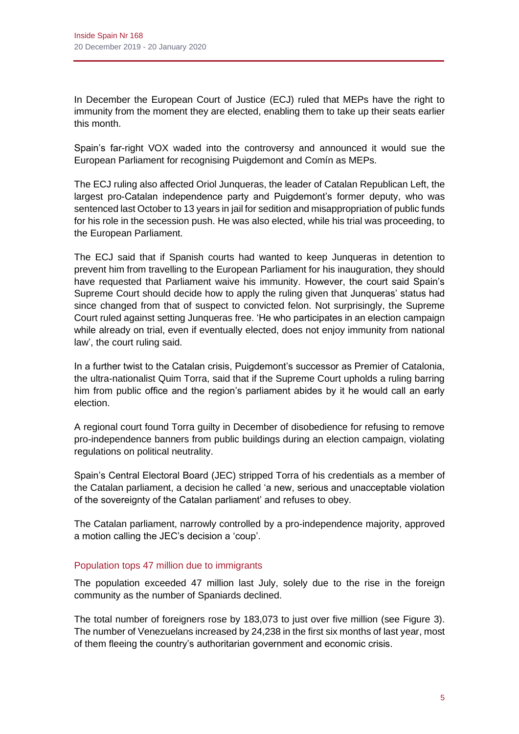In December the European Court of Justice (ECJ) ruled that MEPs have the right to immunity from the moment they are elected, enabling them to take up their seats earlier this month.

Spain's far-right VOX waded into the controversy and announced it would sue the European Parliament for recognising Puigdemont and Comín as MEPs.

The ECJ ruling also affected Oriol Junqueras, the leader of Catalan Republican Left, the largest pro-Catalan independence party and Puigdemont's former deputy, who was sentenced last October to 13 years in jail for sedition and misappropriation of public funds for his role in the secession push. He was also elected, while his trial was proceeding, to the European Parliament.

The ECJ said that if Spanish courts had wanted to keep Junqueras in detention to prevent him from travelling to the European Parliament for his inauguration, they should have requested that Parliament waive his immunity. However, the court said Spain's Supreme Court should decide how to apply the ruling given that Junqueras' status had since changed from that of suspect to convicted felon. Not surprisingly, the Supreme Court ruled against setting Junqueras free. 'He who participates in an election campaign while already on trial, even if eventually elected, does not enjoy immunity from national law', the court ruling said.

In a further twist to the Catalan crisis, Puigdemont's successor as Premier of Catalonia, the ultra-nationalist Quim Torra, said that if the Supreme Court upholds a ruling barring him from public office and the region's parliament abides by it he would call an early election.

A regional court found Torra guilty in December of disobedience for refusing to remove pro-independence banners from public buildings during an election campaign, violating regulations on political neutrality.

Spain's Central Electoral Board (JEC) stripped Torra of his credentials as a member of the Catalan parliament, a decision he called 'a new, serious and unacceptable violation of the sovereignty of the Catalan parliament' and refuses to obey.

The Catalan parliament, narrowly controlled by a pro-independence majority, approved a motion calling the JEC's decision a 'coup'.

# Population tops 47 million due to immigrants

The population exceeded 47 million last July, solely due to the rise in the foreign community as the number of Spaniards declined.

The total number of foreigners rose by 183,073 to just over five million (see Figure 3). The number of Venezuelans increased by 24,238 in the first six months of last year, most of them fleeing the country's authoritarian government and economic crisis.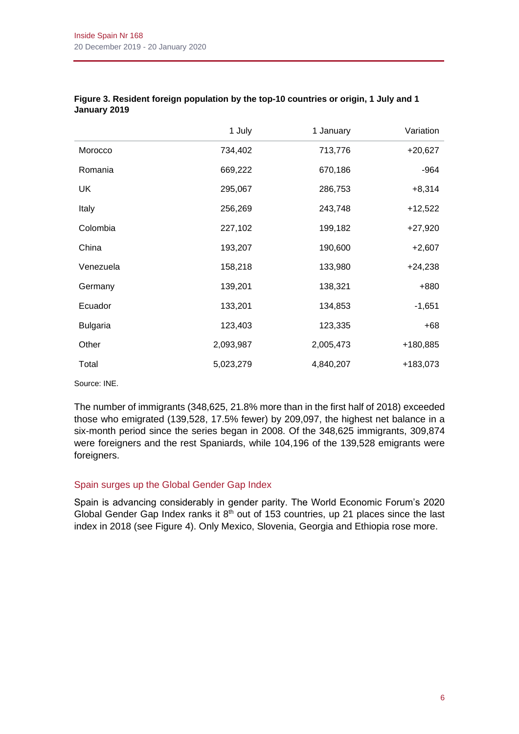|                 | 1 July    | 1 January | Variation |
|-----------------|-----------|-----------|-----------|
| Morocco         | 734,402   | 713,776   | $+20,627$ |
| Romania         | 669,222   | 670,186   | $-964$    |
| UK              | 295,067   | 286,753   | $+8,314$  |
| Italy           | 256,269   | 243,748   | $+12,522$ |
| Colombia        | 227,102   | 199,182   | $+27,920$ |
| China           | 193,207   | 190,600   | $+2,607$  |
| Venezuela       | 158,218   | 133,980   | $+24,238$ |
| Germany         | 139,201   | 138,321   | +880      |
| Ecuador         | 133,201   | 134,853   | $-1,651$  |
| <b>Bulgaria</b> | 123,403   | 123,335   | $+68$     |
| Other           | 2,093,987 | 2,005,473 | +180,885  |
| Total           | 5,023,279 | 4,840,207 | +183,073  |

#### **Figure 3. Resident foreign population by the top-10 countries or origin, 1 July and 1 January 2019**

Source: INE.

The number of immigrants (348,625, 21.8% more than in the first half of 2018) exceeded those who emigrated (139,528, 17.5% fewer) by 209,097, the highest net balance in a six-month period since the series began in 2008. Of the 348,625 immigrants, 309,874 were foreigners and the rest Spaniards, while 104,196 of the 139,528 emigrants were foreigners.

# Spain surges up the Global Gender Gap Index

Spain is advancing considerably in gender parity. The World Economic Forum's 2020 Global Gender Gap Index ranks it  $8<sup>th</sup>$  out of 153 countries, up 21 places since the last index in 2018 (see Figure 4). Only Mexico, Slovenia, Georgia and Ethiopia rose more.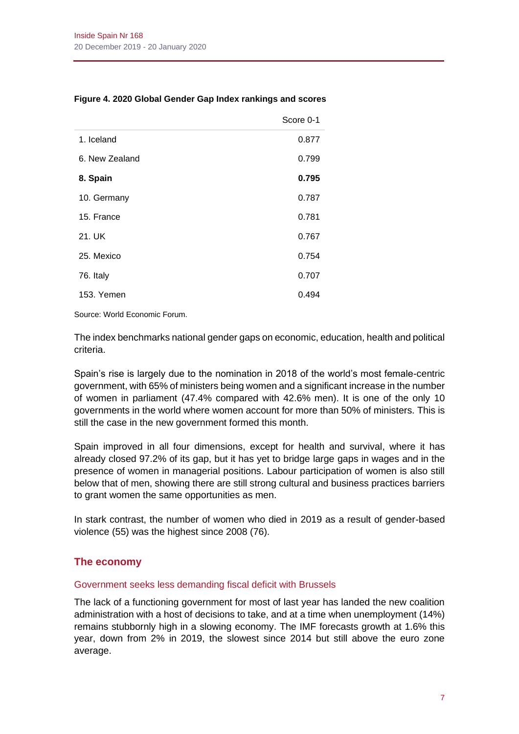|                | Score 0-1 |
|----------------|-----------|
| 1. Iceland     | 0.877     |
| 6. New Zealand | 0.799     |
| 8. Spain       | 0.795     |
| 10. Germany    | 0.787     |
| 15. France     | 0.781     |
| 21. UK         | 0.767     |
| 25. Mexico     | 0.754     |
| 76. Italy      | 0.707     |
| 153. Yemen     | 0.494     |
|                |           |

#### **Figure 4. 2020 Global Gender Gap Index rankings and scores**

Source: World Economic Forum.

The index benchmarks national gender gaps on economic, education, health and political criteria.

Spain's rise is largely due to the nomination in 2018 of the world's most female-centric government, with 65% of ministers being women and a significant increase in the number of women in parliament (47.4% compared with 42.6% men). It is one of the only 10 governments in the world where women account for more than 50% of ministers. This is still the case in the new government formed this month.

Spain improved in all four dimensions, except for health and survival, where it has already closed 97.2% of its gap, but it has yet to bridge large gaps in wages and in the presence of women in managerial positions. Labour participation of women is also still below that of men, showing there are still strong cultural and business practices barriers to grant women the same opportunities as men.

In stark contrast, the number of women who died in 2019 as a result of gender-based violence (55) was the highest since 2008 (76).

# **The economy**

# Government seeks less demanding fiscal deficit with Brussels

The lack of a functioning government for most of last year has landed the new coalition administration with a host of decisions to take, and at a time when unemployment (14%) remains stubbornly high in a slowing economy. The IMF forecasts growth at 1.6% this year, down from 2% in 2019, the slowest since 2014 but still above the euro zone average.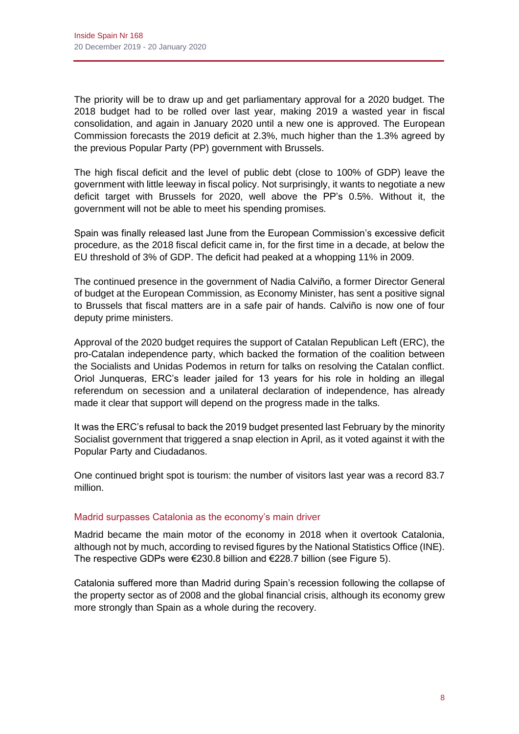The priority will be to draw up and get parliamentary approval for a 2020 budget. The 2018 budget had to be rolled over last year, making 2019 a wasted year in fiscal consolidation, and again in January 2020 until a new one is approved. The European Commission forecasts the 2019 deficit at 2.3%, much higher than the 1.3% agreed by the previous Popular Party (PP) government with Brussels.

The high fiscal deficit and the level of public debt (close to 100% of GDP) leave the government with little leeway in fiscal policy. Not surprisingly, it wants to negotiate a new deficit target with Brussels for 2020, well above the PP's 0.5%. Without it, the government will not be able to meet his spending promises.

Spain was finally released last June from the European Commission's excessive deficit procedure, as the 2018 fiscal deficit came in, for the first time in a decade, at below the EU threshold of 3% of GDP. The deficit had peaked at a whopping 11% in 2009.

The continued presence in the government of Nadia Calviño, a former Director General of budget at the European Commission, as Economy Minister, has sent a positive signal to Brussels that fiscal matters are in a safe pair of hands. Calviño is now one of four deputy prime ministers.

Approval of the 2020 budget requires the support of Catalan Republican Left (ERC), the pro-Catalan independence party, which backed the formation of the coalition between the Socialists and Unidas Podemos in return for talks on resolving the Catalan conflict. Oriol Junqueras, ERC's leader jailed for 13 years for his role in holding an illegal referendum on secession and a unilateral declaration of independence, has already made it clear that support will depend on the progress made in the talks.

It was the ERC's refusal to back the 2019 budget presented last February by the minority Socialist government that triggered a snap election in April, as it voted against it with the Popular Party and Ciudadanos.

One continued bright spot is tourism: the number of visitors last year was a record 83.7 million.

# Madrid surpasses Catalonia as the economy's main driver

Madrid became the main motor of the economy in 2018 when it overtook Catalonia, although not by much, according to revised figures by the National Statistics Office (INE). The respective GDPs were €230.8 billion and €228.7 billion (see Figure 5).

Catalonia suffered more than Madrid during Spain's recession following the collapse of the property sector as of 2008 and the global financial crisis, although its economy grew more strongly than Spain as a whole during the recovery.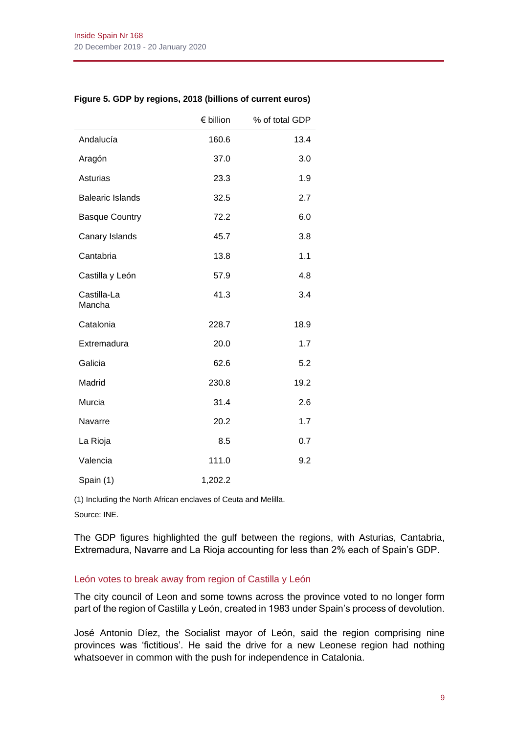|  |  | Figure 5. GDP by regions, 2018 (billions of current euros) |  |  |  |
|--|--|------------------------------------------------------------|--|--|--|
|  |  |                                                            |  |  |  |

|                         | € billion | % of total GDP |
|-------------------------|-----------|----------------|
| Andalucía               | 160.6     | 13.4           |
| Aragón                  | 37.0      | 3.0            |
| Asturias                | 23.3      | 1.9            |
| <b>Balearic Islands</b> | 32.5      | 2.7            |
| <b>Basque Country</b>   | 72.2      | 6.0            |
| Canary Islands          | 45.7      | 3.8            |
| Cantabria               | 13.8      | 1.1            |
| Castilla y León         | 57.9      | 4.8            |
| Castilla-La<br>Mancha   | 41.3      | 3.4            |
| Catalonia               | 228.7     | 18.9           |
| Extremadura             | 20.0      | 1.7            |
| Galicia                 | 62.6      | 5.2            |
| Madrid                  | 230.8     | 19.2           |
| Murcia                  | 31.4      | 2.6            |
| Navarre                 | 20.2      | 1.7            |
| La Rioja                | 8.5       | 0.7            |
| Valencia                | 111.0     | 9.2            |
| Spain (1)               | 1,202.2   |                |

(1) Including the North African enclaves of Ceuta and Melilla.

Source: INE.

The GDP figures highlighted the gulf between the regions, with Asturias, Cantabria, Extremadura, Navarre and La Rioja accounting for less than 2% each of Spain's GDP.

# León votes to break away from region of Castilla y León

The city council of Leon and some towns across the province voted to no longer form part of the region of Castilla y León, created in 1983 under Spain's process of devolution.

José Antonio Díez, the Socialist mayor of León, said the region comprising nine provinces was 'fictitious'. He said the drive for a new Leonese region had nothing whatsoever in common with the push for independence in Catalonia.